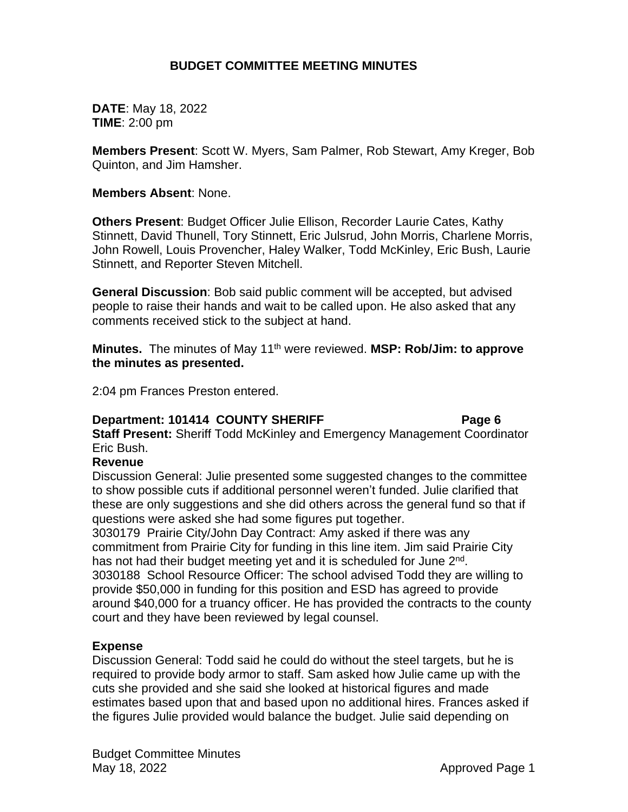# **BUDGET COMMITTEE MEETING MINUTES**

**DATE**: May 18, 2022 **TIME**: 2:00 pm

**Members Present**: Scott W. Myers, Sam Palmer, Rob Stewart, Amy Kreger, Bob Quinton, and Jim Hamsher.

## **Members Absent**: None.

**Others Present**: Budget Officer Julie Ellison, Recorder Laurie Cates, Kathy Stinnett, David Thunell, Tory Stinnett, Eric Julsrud, John Morris, Charlene Morris, John Rowell, Louis Provencher, Haley Walker, Todd McKinley, Eric Bush, Laurie Stinnett, and Reporter Steven Mitchell.

**General Discussion**: Bob said public comment will be accepted, but advised people to raise their hands and wait to be called upon. He also asked that any comments received stick to the subject at hand.

**Minutes.** The minutes of May 11th were reviewed. **MSP: Rob/Jim: to approve the minutes as presented.**

2:04 pm Frances Preston entered.

# **Department: 101414 COUNTY SHERIFF** Page 6

**Staff Present:** Sheriff Todd McKinley and Emergency Management Coordinator Eric Bush.

# **Revenue**

Discussion General: Julie presented some suggested changes to the committee to show possible cuts if additional personnel weren't funded. Julie clarified that these are only suggestions and she did others across the general fund so that if questions were asked she had some figures put together.

3030179 Prairie City/John Day Contract: Amy asked if there was any commitment from Prairie City for funding in this line item. Jim said Prairie City has not had their budget meeting yet and it is scheduled for June 2<sup>nd</sup>. 3030188 School Resource Officer: The school advised Todd they are willing to provide \$50,000 in funding for this position and ESD has agreed to provide around \$40,000 for a truancy officer. He has provided the contracts to the county court and they have been reviewed by legal counsel.

# **Expense**

Discussion General: Todd said he could do without the steel targets, but he is required to provide body armor to staff. Sam asked how Julie came up with the cuts she provided and she said she looked at historical figures and made estimates based upon that and based upon no additional hires. Frances asked if the figures Julie provided would balance the budget. Julie said depending on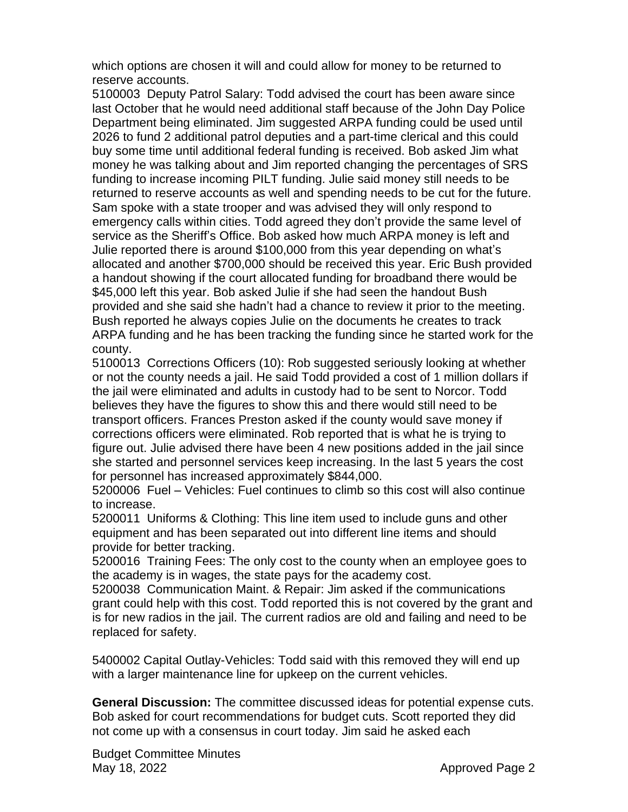which options are chosen it will and could allow for money to be returned to reserve accounts.

5100003 Deputy Patrol Salary: Todd advised the court has been aware since last October that he would need additional staff because of the John Day Police Department being eliminated. Jim suggested ARPA funding could be used until 2026 to fund 2 additional patrol deputies and a part-time clerical and this could buy some time until additional federal funding is received. Bob asked Jim what money he was talking about and Jim reported changing the percentages of SRS funding to increase incoming PILT funding. Julie said money still needs to be returned to reserve accounts as well and spending needs to be cut for the future. Sam spoke with a state trooper and was advised they will only respond to emergency calls within cities. Todd agreed they don't provide the same level of service as the Sheriff's Office. Bob asked how much ARPA money is left and Julie reported there is around \$100,000 from this year depending on what's allocated and another \$700,000 should be received this year. Eric Bush provided a handout showing if the court allocated funding for broadband there would be \$45,000 left this year. Bob asked Julie if she had seen the handout Bush provided and she said she hadn't had a chance to review it prior to the meeting. Bush reported he always copies Julie on the documents he creates to track ARPA funding and he has been tracking the funding since he started work for the county.

5100013 Corrections Officers (10): Rob suggested seriously looking at whether or not the county needs a jail. He said Todd provided a cost of 1 million dollars if the jail were eliminated and adults in custody had to be sent to Norcor. Todd believes they have the figures to show this and there would still need to be transport officers. Frances Preston asked if the county would save money if corrections officers were eliminated. Rob reported that is what he is trying to figure out. Julie advised there have been 4 new positions added in the jail since she started and personnel services keep increasing. In the last 5 years the cost for personnel has increased approximately \$844,000.

5200006 Fuel – Vehicles: Fuel continues to climb so this cost will also continue to increase.

5200011 Uniforms & Clothing: This line item used to include guns and other equipment and has been separated out into different line items and should provide for better tracking.

5200016 Training Fees: The only cost to the county when an employee goes to the academy is in wages, the state pays for the academy cost.

5200038 Communication Maint. & Repair: Jim asked if the communications grant could help with this cost. Todd reported this is not covered by the grant and is for new radios in the jail. The current radios are old and failing and need to be replaced for safety.

5400002 Capital Outlay-Vehicles: Todd said with this removed they will end up with a larger maintenance line for upkeep on the current vehicles.

**General Discussion:** The committee discussed ideas for potential expense cuts. Bob asked for court recommendations for budget cuts. Scott reported they did not come up with a consensus in court today. Jim said he asked each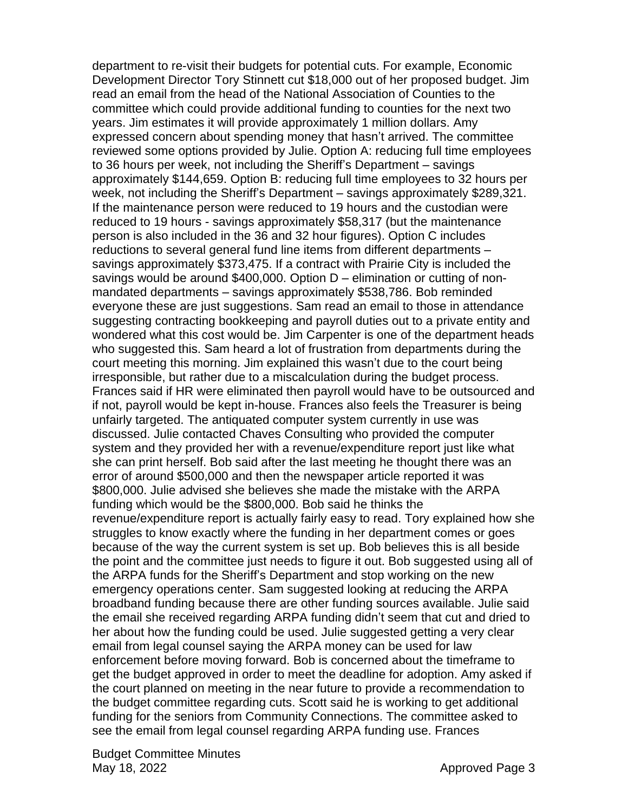department to re-visit their budgets for potential cuts. For example, Economic Development Director Tory Stinnett cut \$18,000 out of her proposed budget. Jim read an email from the head of the National Association of Counties to the committee which could provide additional funding to counties for the next two years. Jim estimates it will provide approximately 1 million dollars. Amy expressed concern about spending money that hasn't arrived. The committee reviewed some options provided by Julie. Option A: reducing full time employees to 36 hours per week, not including the Sheriff's Department – savings approximately \$144,659. Option B: reducing full time employees to 32 hours per week, not including the Sheriff's Department – savings approximately \$289,321. If the maintenance person were reduced to 19 hours and the custodian were reduced to 19 hours - savings approximately \$58,317 (but the maintenance person is also included in the 36 and 32 hour figures). Option C includes reductions to several general fund line items from different departments – savings approximately \$373,475. If a contract with Prairie City is included the savings would be around \$400,000. Option D – elimination or cutting of nonmandated departments – savings approximately \$538,786. Bob reminded everyone these are just suggestions. Sam read an email to those in attendance suggesting contracting bookkeeping and payroll duties out to a private entity and wondered what this cost would be. Jim Carpenter is one of the department heads who suggested this. Sam heard a lot of frustration from departments during the court meeting this morning. Jim explained this wasn't due to the court being irresponsible, but rather due to a miscalculation during the budget process. Frances said if HR were eliminated then payroll would have to be outsourced and if not, payroll would be kept in-house. Frances also feels the Treasurer is being unfairly targeted. The antiquated computer system currently in use was discussed. Julie contacted Chaves Consulting who provided the computer system and they provided her with a revenue/expenditure report just like what she can print herself. Bob said after the last meeting he thought there was an error of around \$500,000 and then the newspaper article reported it was \$800,000. Julie advised she believes she made the mistake with the ARPA funding which would be the \$800,000. Bob said he thinks the revenue/expenditure report is actually fairly easy to read. Tory explained how she struggles to know exactly where the funding in her department comes or goes because of the way the current system is set up. Bob believes this is all beside the point and the committee just needs to figure it out. Bob suggested using all of the ARPA funds for the Sheriff's Department and stop working on the new emergency operations center. Sam suggested looking at reducing the ARPA broadband funding because there are other funding sources available. Julie said the email she received regarding ARPA funding didn't seem that cut and dried to her about how the funding could be used. Julie suggested getting a very clear email from legal counsel saying the ARPA money can be used for law enforcement before moving forward. Bob is concerned about the timeframe to get the budget approved in order to meet the deadline for adoption. Amy asked if the court planned on meeting in the near future to provide a recommendation to the budget committee regarding cuts. Scott said he is working to get additional funding for the seniors from Community Connections. The committee asked to see the email from legal counsel regarding ARPA funding use. Frances

Budget Committee Minutes May 18, 2022 **Approved Page 3**